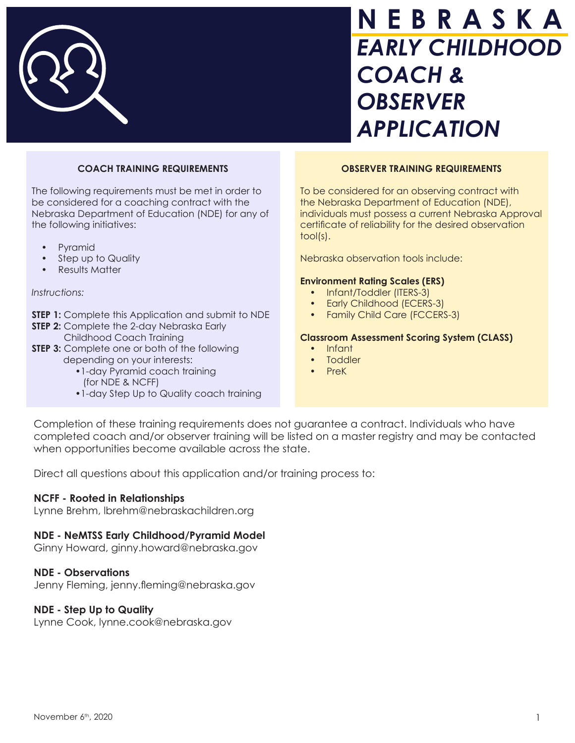

# **N E B R A S K A**  *EARLY CHILDHOOD COACH & OBSERVER APPLICATION*

# **COACH TRAINING REQUIREMENTS**

 The following requirements must be met in order to be considered for a coaching contract with the Nebraska Department of Education (NDE) for any of the following initiatives:

- Pyramid
- Step up to Quality
- Results Matter

#### *Instructions:*

- **STEP 1:** Complete this Application and submit to NDE
- **STEP 2:** Complete the 2-day Nebraska Early **STEP 2:** Childhood Coach Training
- **STEP 3:** Complete one or both of the followingdepending on your interests:
	- •1-day Pyramid coach training (for NDE & NCFF)
	- •1-day Step Up to Quality coach training

#### **OBSERVER TRAINING REQUIREMENTS**

 To be considered for an observing contract with the Nebraska Department of Education (NDE), individuals must possess a current Nebraska Approval certificate of reliability for the desired observation tool(s).

Nebraska observation tools include:

#### **Environment Rating Scales (ERS)**

- Infant/Toddler (ITERS-3)
- Early Childhood (ECERS-3)
- Family Child Care (FCCERS-3)

#### **Classroom Assessment Scoring System (CLASS)**

- Infant
- Toddler
- PreK

Completion of these training requirements does not guarantee a contract. Individuals who have completed coach and/or observer training will be listed on a master registry and may be contacted when opportunities become available across the state.

Direct all questions about this application and/or training process to:

## **NCFF - Rooted in Relationships**

Lynne Brehm, lbrehm@nebraskachildren.org

## **NDE - NeMTSS Early Childhood/Pyramid Model**

Ginny Howard, ginny.howard@nebraska.gov

#### **NDE - Observations**

Jenny Fleming, jenny.fleming@nebraska.gov

## **NDE - Step Up to Quality**

Lynne Cook, lynne.cook@nebraska.gov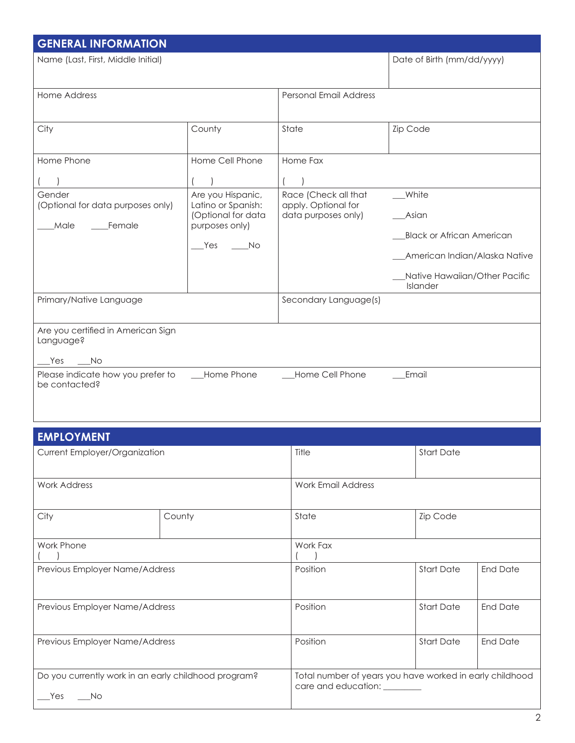| <b>GENERAL INFORMATION</b>                                    |                                                                                               |                                                                    |                                                                                                                                  |
|---------------------------------------------------------------|-----------------------------------------------------------------------------------------------|--------------------------------------------------------------------|----------------------------------------------------------------------------------------------------------------------------------|
| Name (Last, First, Middle Initial)                            |                                                                                               |                                                                    | Date of Birth (mm/dd/yyyy)                                                                                                       |
| Home Address                                                  |                                                                                               | <b>Personal Email Address</b>                                      |                                                                                                                                  |
| City                                                          | County                                                                                        | State                                                              | Zip Code                                                                                                                         |
| Home Phone                                                    | Home Cell Phone                                                                               | Home Fax                                                           |                                                                                                                                  |
| Gender<br>(Optional for data purposes only)<br>Male<br>Female | Are you Hispanic,<br>Latino or Spanish:<br>(Optional for data<br>purposes only)<br>Yes<br>No. | Race (Check all that<br>apply. Optional for<br>data purposes only) | White<br>Asian<br><b>Black or African American</b><br>American Indian/Alaska Native<br>Native Hawaiian/Other Pacific<br>Islander |
| Primary/Native Language                                       |                                                                                               | Secondary Language(s)                                              |                                                                                                                                  |
| Are you certified in American Sign<br>Language?<br>Yes<br>No  |                                                                                               |                                                                    |                                                                                                                                  |
| Please indicate how you prefer to<br>be contacted?            | Home Phone                                                                                    | Home Cell Phone                                                    | Email                                                                                                                            |

| <b>EMPLOYMENT</b>                                                   |        |                              |                                                          |                 |
|---------------------------------------------------------------------|--------|------------------------------|----------------------------------------------------------|-----------------|
| Current Employer/Organization                                       |        | Title                        | <b>Start Date</b>                                        |                 |
| <b>Work Address</b>                                                 |        | <b>Work Email Address</b>    |                                                          |                 |
| City                                                                | County | State                        | Zip Code                                                 |                 |
| Work Phone                                                          |        | Work Fax                     |                                                          |                 |
| Previous Employer Name/Address                                      |        | Position                     | <b>Start Date</b>                                        | <b>End Date</b> |
| Previous Employer Name/Address                                      |        | Position                     | <b>Start Date</b>                                        | <b>End Date</b> |
| Previous Employer Name/Address                                      |        | Position                     | <b>Start Date</b>                                        | <b>End Date</b> |
| Do you currently work in an early childhood program?<br>Yes<br>- No |        | care and education: ________ | Total number of years you have worked in early childhood |                 |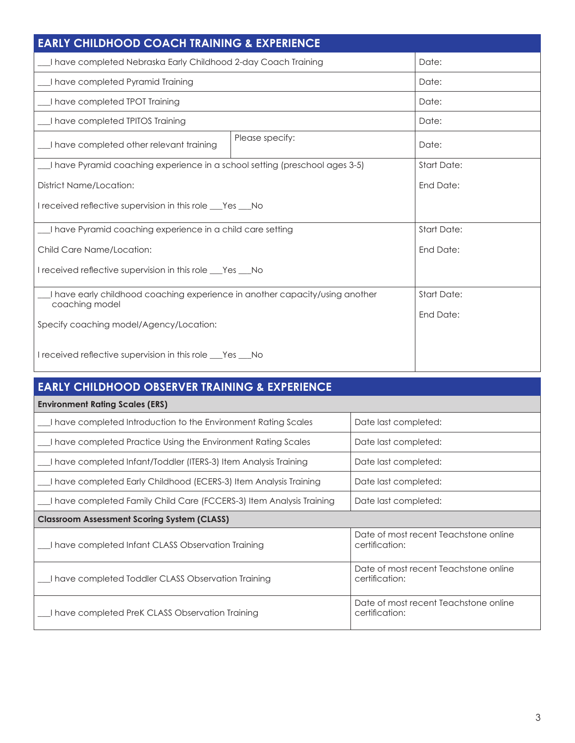| <b>EARLY CHILDHOOD COACH TRAINING &amp; EXPERIENCE</b>                                         |                 |                      |       |
|------------------------------------------------------------------------------------------------|-----------------|----------------------|-------|
| I have completed Nebraska Early Childhood 2-day Coach Training                                 |                 |                      | Date: |
| I have completed Pyramid Training                                                              |                 | Date:                |       |
| I have completed TPOT Training                                                                 |                 |                      | Date: |
| I have completed TPITOS Training                                                               |                 |                      | Date: |
| I have completed other relevant training                                                       | Please specify: |                      | Date: |
| I have Pyramid coaching experience in a school setting (preschool ages 3-5)                    |                 | <b>Start Date:</b>   |       |
| <b>District Name/Location:</b>                                                                 |                 | End Date:            |       |
| I received reflective supervision in this role __Yes __No                                      |                 |                      |       |
| I have Pyramid coaching experience in a child care setting                                     |                 | <b>Start Date:</b>   |       |
| Child Care Name/Location:                                                                      |                 | End Date:            |       |
| I received reflective supervision in this role __Yes __No                                      |                 |                      |       |
| I have early childhood coaching experience in another capacity/using another<br>coaching model |                 | <b>Start Date:</b>   |       |
| Specify coaching model/Agency/Location:                                                        |                 | End Date:            |       |
| I received reflective supervision in this role __Yes __No                                      |                 |                      |       |
| <b>EARLY CHILDHOOD OBSERVER TRAINING &amp; EXPERIENCE</b>                                      |                 |                      |       |
| <b>Environment Rating Scales (ERS)</b>                                                         |                 |                      |       |
| I have completed Introduction to the Environment Rating Scales                                 |                 | Date last completed: |       |
| I have completed Practice Using the Environment Rating Scales<br>Date last completed:          |                 |                      |       |
| I have completed Infant/Toddler (ITERS-3) Item Analysis Training<br>Date last completed:       |                 |                      |       |
| I have completed Early Childhood (ECERS-3) Item Analysis Training<br>Date last completed:      |                 |                      |       |
|                                                                                                |                 |                      |       |

| Thave completed introduction to the Environment Railing Scales       | Dale last completed.                                    |
|----------------------------------------------------------------------|---------------------------------------------------------|
| I have completed Practice Using the Environment Rating Scales        | Date last completed:                                    |
| I have completed Infant/Toddler (ITERS-3) Item Analysis Training     | Date last completed:                                    |
| I have completed Early Childhood (ECERS-3) Item Analysis Training    | Date last completed:                                    |
| I have completed Family Child Care (FCCERS-3) Item Analysis Training | Date last completed:                                    |
| <b>Classroom Assessment Scoring System (CLASS)</b>                   |                                                         |
| I have completed Infant CLASS Observation Training                   | Date of most recent Teachstone online<br>certification: |
| I have completed Toddler CLASS Observation Training                  | Date of most recent Teachstone online<br>certification: |
| I have completed PreK CLASS Observation Training                     | Date of most recent Teachstone online<br>certification: |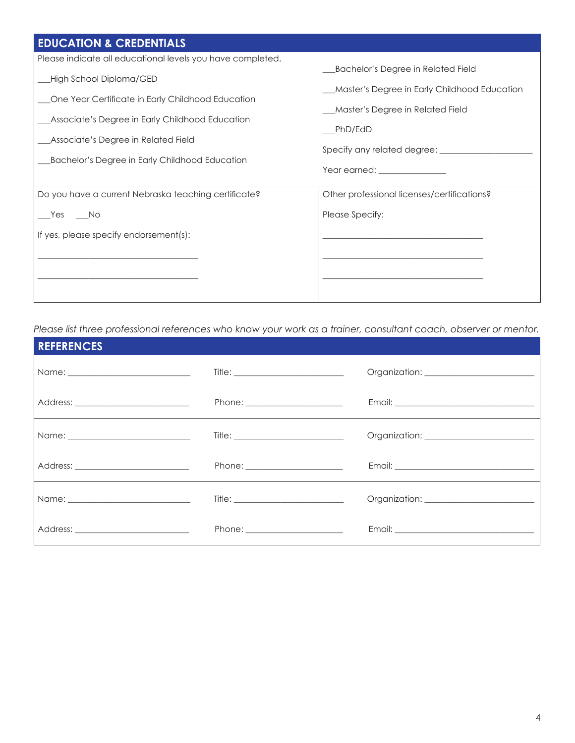| <b>EDUCATION &amp; CREDENTIALS</b>                                                                                                                                                                                                                                                     |                                                                                                                                                                   |
|----------------------------------------------------------------------------------------------------------------------------------------------------------------------------------------------------------------------------------------------------------------------------------------|-------------------------------------------------------------------------------------------------------------------------------------------------------------------|
| Please indicate all educational levels you have completed.<br>High School Diploma/GED<br>One Year Certificate in Early Childhood Education<br>Associate's Degree in Early Childhood Education<br>Associate's Degree in Related Field<br>Bachelor's Degree in Early Childhood Education | Bachelor's Degree in Related Field<br>Master's Degree in Early Childhood Education<br>Master's Degree in Related Field<br>PhD/EdD<br>Year earned: _______________ |
| Do you have a current Nebraska teaching certificate?<br>Yes No<br>If yes, please specify endorsement(s):                                                                                                                                                                               | Other professional licenses/certifications?<br>Please Specify:                                                                                                    |

*Please list three professional references who know your work as a trainer, consultant coach, observer or mentor.*

| <b>REFERENCES</b> |                                                                                                                                                                                                                                |  |
|-------------------|--------------------------------------------------------------------------------------------------------------------------------------------------------------------------------------------------------------------------------|--|
|                   |                                                                                                                                                                                                                                |  |
|                   |                                                                                                                                                                                                                                |  |
|                   |                                                                                                                                                                                                                                |  |
|                   | Phone: National Phone State State State State State State State State State State State State State State State State State State State State State State State State State State State State State State State State State St |  |
|                   | $\text{Title:} \begin{tabular}{ c c c c } \hline \quad \quad & \quad \quad & \quad \quad & \quad \quad \\ \hline \end{tabular}$                                                                                                |  |
|                   | Phone: _______________________                                                                                                                                                                                                 |  |